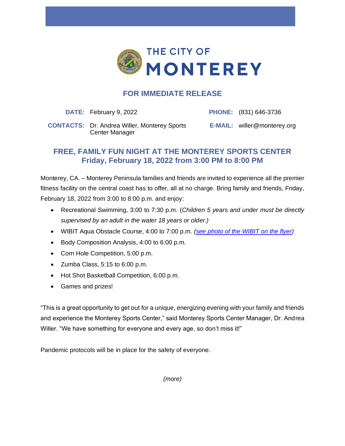

## **FOR IMMEDIATE RELEASE**

**DATE:** February 9, 2022 **PHONE:** (831) 646-3736

**CONTACTS:** Dr. Andrea Willer, Monterey Sports Center Manager

**E-MAIL:** willer@monterey.org

## **FREE, FAMILY FUN NIGHT AT THE MONTEREY SPORTS CENTER Friday, February 18, 2022 from 3:00 PM to 8:00 PM**

Monterey, CA. – Monterey Peninsula families and friends are invited to experience all the premier fitness facility on the central coast has to offer, all at no charge. Bring family and friends, Friday, February 18, 2022 from 3:00 to 8:00 p.m. and enjoy:

- Recreational Swimming, 3:00 to 7:30 p.m. (*Children 5 years and under must be directly supervised by an adult in the water 18 years or older.)*
- WIBIT Aqua Obstacle Course, 4:00 to 7:00 p.m. *[\(see photo of the WIBIT on the flyer\)](https://files.monterey.org/Document%20Center/Monterey%20Sports%20Center/Family-Fun-Night-Flyer.pdf)*
- Body Composition Analysis, 4:00 to 6:00 p.m.
- Corn Hole Competition, 5:00 p.m.
- Zumba Class, 5:15 to 6:00 p.m.
- Hot Shot Basketball Competition, 6:00 p.m.
- Games and prizes!

"This is a great opportunity to get out for a unique, energizing evening with your family and friends and experience the Monterey Sports Center," said Monterey Sports Center Manager, Dr. Andrea Willer. "We have something for everyone and every age, so don't miss it!"

Pandemic protocols will be in place for the safety of everyone.

*(more)*